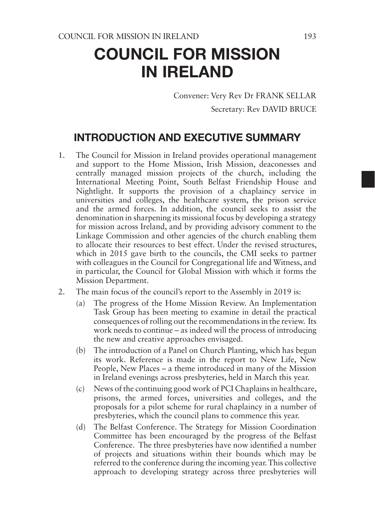# COUNCIL FOR MISSION IN IRELAND

Convener: Very Rev Dr FRANK SELLAR Secretary: Rev DAVID BRUCE

## INTRODUCTION AND EXECUTIVE SUMMARY

- 1. The Council for Mission in Ireland provides operational management and support to the Home Mission, Irish Mission, deaconesses and centrally managed mission projects of the church, including the International Meeting Point, South Belfast Friendship House and Nightlight. It supports the provision of a chaplaincy service in universities and colleges, the healthcare system, the prison service and the armed forces. In addition, the council seeks to assist the denomination in sharpening its missional focus by developing a strategy for mission across Ireland, and by providing advisory comment to the Linkage Commission and other agencies of the church enabling them to allocate their resources to best effect. Under the revised structures, which in 2015 gave birth to the councils, the CMI seeks to partner with colleagues in the Council for Congregational life and Witness, and in particular, the Council for Global Mission with which it forms the Mission Department.
- 2. The main focus of the council's report to the Assembly in 2019 is:
	- (a) The progress of the Home Mission Review. An Implementation Task Group has been meeting to examine in detail the practical consequences of rolling out the recommendations in the review. Its work needs to continue – as indeed will the process of introducing the new and creative approaches envisaged.
	- (b) The introduction of a Panel on Church Planting, which has begun its work. Reference is made in the report to New Life, New People, New Places – a theme introduced in many of the Mission in Ireland evenings across presbyteries, held in March this year.
	- (c) News of the continuing good work of PCI Chaplains in healthcare, prisons, the armed forces, universities and colleges, and the proposals for a pilot scheme for rural chaplaincy in a number of presbyteries, which the council plans to commence this year.
	- (d) The Belfast Conference. The Strategy for Mission Coordination Committee has been encouraged by the progress of the Belfast Conference. The three presbyteries have now identified a number of projects and situations within their bounds which may be referred to the conference during the incoming year. This collective approach to developing strategy across three presbyteries will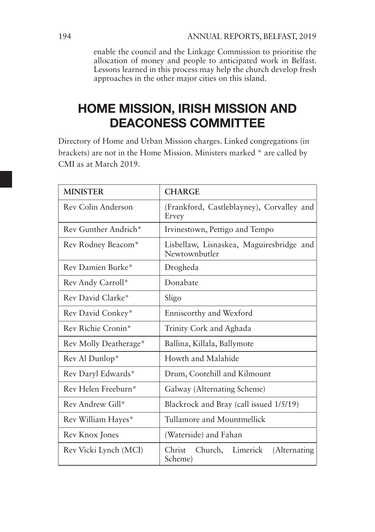enable the council and the Linkage Commission to prioritise the allocation of money and people to anticipated work in Belfast. Lessons learned in this process may help the church develop fresh approaches in the other major cities on this island.

# HOME MISSION, IRISH MISSION AND DEACONESS COMMITTEE

Directory of Home and Urban Mission charges. Linked congregations (in brackets) are not in the Home Mission. Ministers marked \* are called by CMI as at March 2019.

| <b>MINISTER</b>       | <b>CHARGE</b>                                             |
|-----------------------|-----------------------------------------------------------|
| Rev Colin Anderson    | (Frankford, Castleblayney), Corvalley and<br>Ervey        |
| Rev Gunther Andrich*  | Irvinestown, Pettigo and Tempo                            |
| Rev Rodney Beacom*    | Lisbellaw, Lisnaskea, Maguiresbridge and<br>Newtownbutler |
| Rev Damien Burke*     | Drogheda                                                  |
| Rev Andy Carroll*     | Donabate                                                  |
| Rev David Clarke*     | Sligo                                                     |
| Rev David Conkey*     | Enniscorthy and Wexford                                   |
| Rev Richie Cronin*    | Trinity Cork and Aghada                                   |
| Rev Molly Deatherage* | Ballina, Killala, Ballymote                               |
| Rev Al Dunlop*        | Howth and Malahide                                        |
| Rev Daryl Edwards*    | Drum, Cootehill and Kilmount                              |
| Rev Helen Freeburn*   | Galway (Alternating Scheme)                               |
| Rev Andrew Gill*      | Blackrock and Bray (call issued 1/5/19)                   |
| Rev William Hayes*    | Tullamore and Mountmellick                                |
| Rev Knox Jones        | (Waterside) and Fahan                                     |
| Rev Vicki Lynch (MCI) | Church, Limerick<br>Christ<br>(Alternating)<br>Scheme)    |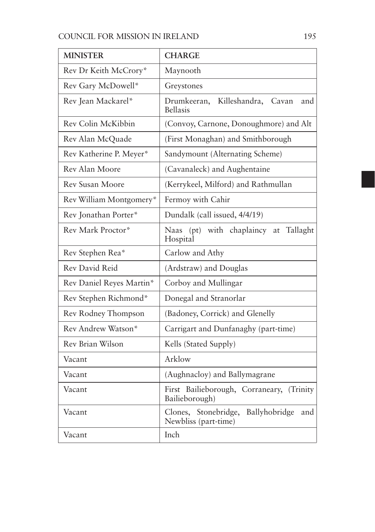| <b>MINISTER</b>          | <b>CHARGE</b>                                                           |
|--------------------------|-------------------------------------------------------------------------|
| Rev Dr Keith McCrory*    | Maynooth                                                                |
| Rev Gary McDowell*       | Greystones                                                              |
| Rev Jean Mackarel*       | Drumkeeran,<br>Killeshandra,<br>Cavan<br>and<br><b>Bellasis</b>         |
| Rev Colin McKibbin       | (Convoy, Carnone, Donoughmore) and Alt                                  |
| Rev Alan McQuade         | (First Monaghan) and Smithborough                                       |
| Rev Katherine P. Meyer*  | Sandymount (Alternating Scheme)                                         |
| Rev Alan Moore           | (Cavanaleck) and Aughentaine                                            |
| Rev Susan Moore          | (Kerrykeel, Milford) and Rathmullan                                     |
| Rev William Montgomery*  | Fermoy with Cahir                                                       |
| Rev Jonathan Porter*     | Dundalk (call issued, 4/4/19)                                           |
| Rev Mark Proctor*        | (pt) with chaplaincy at<br>Tallaght<br>Naas<br>Hospital                 |
| Rev Stephen Rea*         | Carlow and Athy                                                         |
| Rev David Reid           | (Ardstraw) and Douglas                                                  |
| Rev Daniel Reyes Martin* | Corboy and Mullingar                                                    |
| Rev Stephen Richmond*    | Donegal and Stranorlar                                                  |
| Rev Rodney Thompson      | (Badoney, Corrick) and Glenelly                                         |
| Rev Andrew Watson*       | Carrigart and Dunfanaghy (part-time)                                    |
| Rev Brian Wilson         | Kells (Stated Supply)                                                   |
| Vacant                   | Arklow                                                                  |
| Vacant                   | (Aughnacloy) and Ballymagrane                                           |
| Vacant                   | First Bailieborough, Corraneary,<br>(Trinity)<br>Bailieborough)         |
| Vacant                   | Ballyhobridge<br>Stonebridge,<br>Clones,<br>and<br>Newbliss (part-time) |
| Vacant                   | Inch                                                                    |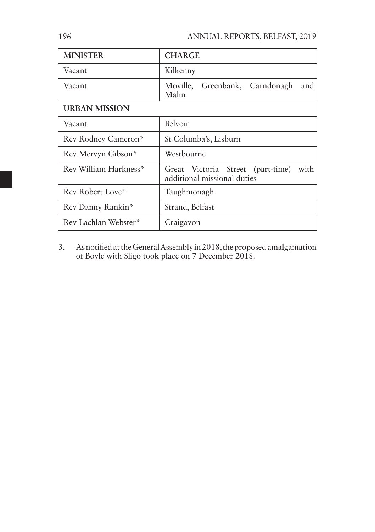| <b>MINISTER</b>       | <b>CHARGE</b>                                                            |
|-----------------------|--------------------------------------------------------------------------|
| Vacant                | Kilkenny                                                                 |
| Vacant                | Moville, Greenbank, Carndonagh<br>and<br>Malin                           |
| <b>URBAN MISSION</b>  |                                                                          |
| Vacant                | Belvoir                                                                  |
| Rev Rodney Cameron*   | St Columba's, Lisburn                                                    |
| Rev Mervyn Gibson*    | Westbourne                                                               |
| Rev William Harkness* | Great Victoria Street (part-time)<br>with<br>additional missional duties |
| Rev Robert Love*      | Taughmonagh                                                              |
| Rev Danny Rankin*     | Strand, Belfast                                                          |
| Rev Lachlan Webster*  | Craigavon                                                                |

3. As notified at the General Assembly in 2018, the proposed amalgamation of Boyle with Sligo took place on 7 December 2018.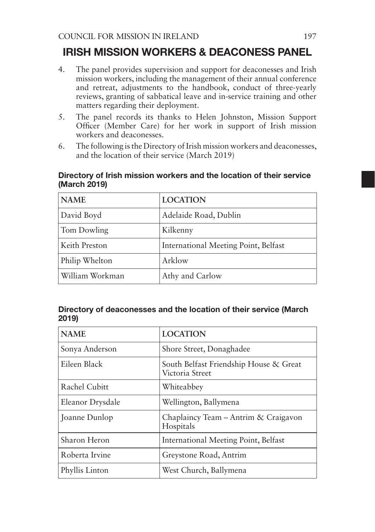### IRISH MISSION WORKERS & DEACONESS PANEL

- 4. The panel provides supervision and support for deaconesses and Irish mission workers, including the management of their annual conference and retreat, adjustments to the handbook, conduct of three-yearly reviews, granting of sabbatical leave and in-service training and other matters regarding their deployment.
- 5. The panel records its thanks to Helen Johnston, Mission Support Officer (Member Care) for her work in support of Irish mission workers and deaconesses.
- 6. The following is the Directory of Irish mission workers and deaconesses, and the location of their service (March 2019)

| <b>NAME</b>     | <b>LOCATION</b>                      |
|-----------------|--------------------------------------|
| David Boyd      | Adelaide Road, Dublin                |
| Tom Dowling     | Kilkenny                             |
| Keith Preston   | International Meeting Point, Belfast |
| Philip Whelton  | Arklow                               |
| William Workman | Athy and Carlow                      |

#### Directory of Irish mission workers and the location of their service (March 2019)

#### Directory of deaconesses and the location of their service (March 2019)

| <b>NAME</b>      | <b>LOCATION</b>                                           |
|------------------|-----------------------------------------------------------|
| Sonya Anderson   | Shore Street, Donaghadee                                  |
| Eileen Black     | South Belfast Friendship House & Great<br>Victoria Street |
| Rachel Cubitt    | Whiteabbey                                                |
| Eleanor Drysdale | Wellington, Ballymena                                     |
| Joanne Dunlop    | Chaplaincy Team – Antrim & Craigavon<br>Hospitals         |
| Sharon Heron     | International Meeting Point, Belfast                      |
| Roberta Irvine   | Greystone Road, Antrim                                    |
| Phyllis Linton   | West Church, Ballymena                                    |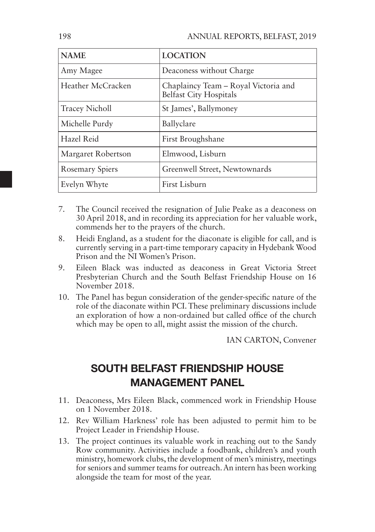| <b>NAME</b>           | <b>LOCATION</b>                                                       |
|-----------------------|-----------------------------------------------------------------------|
| Amy Magee             | Deaconess without Charge                                              |
| Heather McCracken     | Chaplaincy Team – Royal Victoria and<br><b>Belfast City Hospitals</b> |
| <b>Tracey Nicholl</b> | St James', Ballymoney                                                 |
| Michelle Purdy        | Ballyclare                                                            |
| Hazel Reid            | First Broughshane                                                     |
| Margaret Robertson    | Elmwood, Lisburn                                                      |
| Rosemary Spiers       | Greenwell Street, Newtownards                                         |
| Evelyn Whyte          | First Lisburn                                                         |

- 7. The Council received the resignation of Julie Peake as a deaconess on 30 April 2018, and in recording its appreciation for her valuable work, commends her to the prayers of the church.
- 8. Heidi England, as a student for the diaconate is eligible for call, and is currently serving in a part-time temporary capacity in Hydebank Wood Prison and the NI Women's Prison.
- 9. Eileen Black was inducted as deaconess in Great Victoria Street Presbyterian Church and the South Belfast Friendship House on 16 November 2018.
- 10. The Panel has begun consideration of the gender-specific nature of the role of the diaconate within PCI. These preliminary discussions include an exploration of how a non-ordained but called office of the church which may be open to all, might assist the mission of the church.

IAN CARTON, Convener

# SOUTH BELFAST FRIENDSHIP HOUSE MANAGEMENT PANEL

- 11. Deaconess, Mrs Eileen Black, commenced work in Friendship House on 1 November 2018.
- 12. Rev William Harkness' role has been adjusted to permit him to be Project Leader in Friendship House.
- 13. The project continues its valuable work in reaching out to the Sandy Row community. Activities include a foodbank, children's and youth ministry, homework clubs, the development of men's ministry, meetings for seniors and summer teams for outreach. An intern has been working alongside the team for most of the year.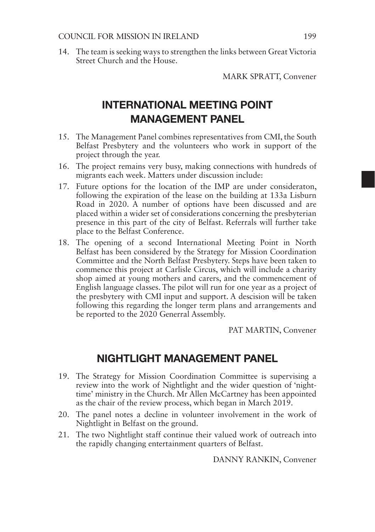14. The team is seeking ways to strengthen the links between Great Victoria Street Church and the House.

MARK SPRATT, Convener

# INTERNATIONAL MEETING POINT MANAGEMENT PANEL

- 15. The Management Panel combines representatives from CMI, the South Belfast Presbytery and the volunteers who work in support of the project through the year.
- 16. The project remains very busy, making connections with hundreds of migrants each week. Matters under discussion include:
- 17. Future options for the location of the IMP are under consideraton, following the expiration of the lease on the building at 133a Lisburn Road in 2020. A number of options have been discussed and are placed within a wider set of considerations concerning the presbyterian presence in this part of the city of Belfast. Referrals will further take place to the Belfast Conference.
- 18. The opening of a second International Meeting Point in North Belfast has been considered by the Strategy for Mission Coordination Committee and the North Belfast Presbytery. Steps have been taken to commence this project at Carlisle Circus, which will include a charity shop aimed at young mothers and carers, and the commencement of English language classes. The pilot will run for one year as a project of the presbytery with CMI input and support. A descision will be taken following this regarding the longer term plans and arrangements and be reported to the 2020 Generral Assembly.

PAT MARTIN, Convener

### NIGHTLIGHT MANAGEMENT PANEL

- 19. The Strategy for Mission Coordination Committee is supervising a review into the work of Nightlight and the wider question of 'nighttime' ministry in the Church. Mr Allen McCartney has been appointed as the chair of the review process, which began in March 2019.
- 20. The panel notes a decline in volunteer involvement in the work of Nightlight in Belfast on the ground.
- 21. The two Nightlight staff continue their valued work of outreach into the rapidly changing entertainment quarters of Belfast.

DANNY RANKIN, Convener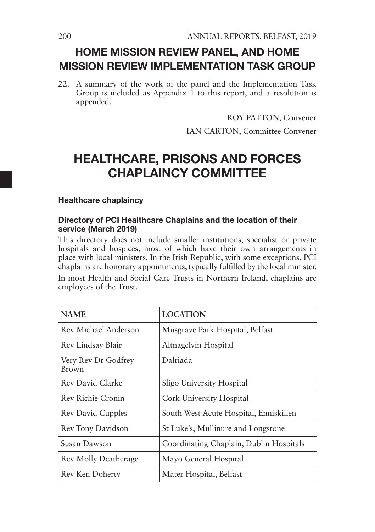# HOME MISSION REVIEW PANEL, AND HOME MISSION REVIEW IMPLEMENTATION TASK GROUP

22. A summary of the work of the panel and the Implementation Task Group is included as Appendix  $\hat{1}$  to this report, and a resolution is appended.

> ROY PATTON, Convener IAN CARTON, Committee Convener

# HEALTHCARE, PRISONS AND FORCES CHAPI AINCY COMMITTEF

#### Healthcare chaplaincy

#### Directory of PCI Healthcare Chaplains and the location of their service (March 2019)

This directory does not include smaller institutions, specialist or private hospitals and hospices, most of which have their own arrangements in place with local ministers. In the Irish Republic, with some exceptions, PCI chaplains are honorary appointments, typically fulfilled by the local minister.

In most Health and Social Care Trusts in Northern Ireland, chaplains are employees of the Trust.

| <b>NAME</b>                  | <b>LOCATION</b>                         |
|------------------------------|-----------------------------------------|
| Rev Michael Anderson         | Musgrave Park Hospital, Belfast         |
| Rev Lindsay Blair            | Altnagelvin Hospital                    |
| Very Rev Dr Godfrey<br>Brown | Dalriada                                |
| Rev David Clarke             | Sligo University Hospital               |
| Rev Richie Cronin            | Cork University Hospital                |
| <b>Rev David Cupples</b>     | South West Acute Hospital, Enniskillen  |
| Rev Tony Davidson            | St Luke's; Mullinure and Longstone      |
| Susan Dawson                 | Coordinating Chaplain, Dublin Hospitals |
| <b>Rev Molly Deatherage</b>  | Mayo General Hospital                   |
| Rev Ken Doherty              | Mater Hospital, Belfast                 |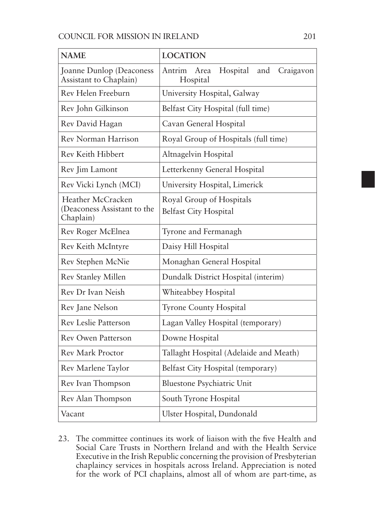| <b>NAME</b>                                                   | <b>LOCATION</b>                                            |
|---------------------------------------------------------------|------------------------------------------------------------|
| Joanne Dunlop (Deaconess<br>Assistant to Chaplain)            | Hospital<br>Antrim<br>and<br>Craigavon<br>Area<br>Hospital |
| Rev Helen Freeburn                                            | University Hospital, Galway                                |
| Rev John Gilkinson                                            | Belfast City Hospital (full time)                          |
| Rev David Hagan                                               | Cavan General Hospital                                     |
| Rev Norman Harrison                                           | Royal Group of Hospitals (full time)                       |
| Rev Keith Hibbert                                             | Altnagelvin Hospital                                       |
| Rev Jim Lamont                                                | Letterkenny General Hospital                               |
| Rev Vicki Lynch (MCI)                                         | University Hospital, Limerick                              |
| Heather McCracken<br>(Deaconess Assistant to the<br>Chaplain) | Royal Group of Hospitals<br><b>Belfast City Hospital</b>   |
| Rev Roger McElnea                                             | Tyrone and Fermanagh                                       |
| Rev Keith McIntyre                                            | Daisy Hill Hospital                                        |
| Rev Stephen McNie                                             | Monaghan General Hospital                                  |
| Rev Stanley Millen                                            | Dundalk District Hospital (interim)                        |
| Rev Dr Ivan Neish                                             | Whiteabbey Hospital                                        |
| Rev Jane Nelson                                               | Tyrone County Hospital                                     |
| <b>Rev Leslie Patterson</b>                                   | Lagan Valley Hospital (temporary)                          |
| <b>Rev Owen Patterson</b>                                     | Downe Hospital                                             |
| <b>Rev Mark Proctor</b>                                       | Tallaght Hospital (Adelaide and Meath)                     |
| Rev Marlene Taylor                                            | Belfast City Hospital (temporary)                          |
| Rev Ivan Thompson                                             | Bluestone Psychiatric Unit                                 |
| Rev Alan Thompson                                             | South Tyrone Hospital                                      |
| Vacant                                                        | Ulster Hospital, Dundonald                                 |

23. The committee continues its work of liaison with the five Health and Social Care Trusts in Northern Ireland and with the Health Service Executive in the Irish Republic concerning the provision of Presbyterian chaplaincy services in hospitals across Ireland. Appreciation is noted for the work of PCI chaplains, almost all of whom are part-time, as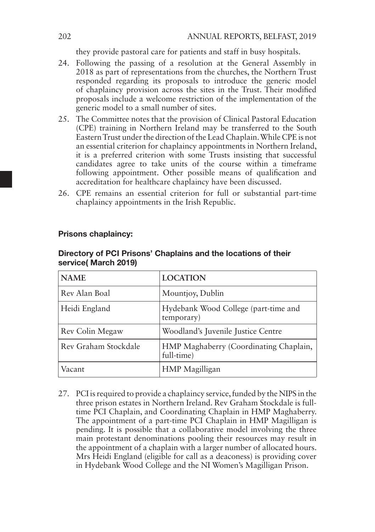they provide pastoral care for patients and staff in busy hospitals.

- 24. Following the passing of a resolution at the General Assembly in 2018 as part of representations from the churches, the Northern Trust responded regarding its proposals to introduce the generic model of chaplaincy provision across the sites in the Trust. Their modified proposals include a welcome restriction of the implementation of the generic model to a small number of sites.
- 25. The Committee notes that the provision of Clinical Pastoral Education (CPE) training in Northern Ireland may be transferred to the South Eastern Trust under the direction of the Lead Chaplain. While CPE is not an essential criterion for chaplaincy appointments in Northern Ireland, it is a preferred criterion with some Trusts insisting that successful candidates agree to take units of the course within a timeframe following appointment. Other possible means of qualification and accreditation for healthcare chaplaincy have been discussed.
- 26. CPE remains an essential criterion for full or substantial part-time chaplaincy appointments in the Irish Republic.

| <b>NAME</b>          | <b>LOCATION</b>                                      |
|----------------------|------------------------------------------------------|
| Rev Alan Boal        | Mountjoy, Dublin                                     |
| Heidi England        | Hydebank Wood College (part-time and<br>temporary)   |
| Rev Colin Megaw      | Woodland's Juvenile Justice Centre                   |
| Rev Graham Stockdale | HMP Maghaberry (Coordinating Chaplain,<br>full-time) |
| Vacant               | HMP Magilligan                                       |

#### Prisons chaplaincy:

#### Directory of PCI Prisons' Chaplains and the locations of their service( March 2019)

27. PCI is required to provide a chaplaincy service, funded by the NIPS in the three prison estates in Northern Ireland. Rev Graham Stockdale is fulltime PCI Chaplain, and Coordinating Chaplain in HMP Maghaberry. The appointment of a part-time PCI Chaplain in HMP Magilligan is pending. It is possible that a collaborative model involving the three main protestant denominations pooling their resources may result in the appointment of a chaplain with a larger number of allocated hours. Mrs Heidi England (eligible for call as a deaconess) is providing cover in Hydebank Wood College and the NI Women's Magilligan Prison.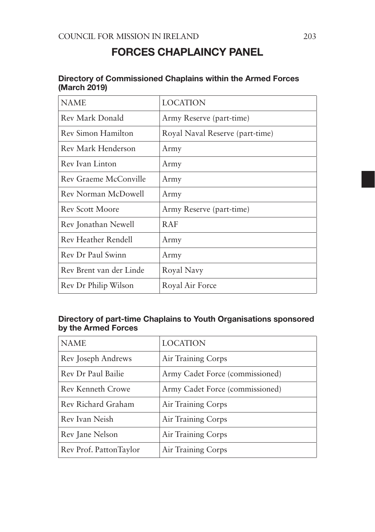## FORCES CHAPLAINCY PANEL

#### Directory of Commissioned Chaplains within the Armed Forces (March 2019)

| <b>NAME</b>             | <b>LOCATION</b>                 |
|-------------------------|---------------------------------|
| Rev Mark Donald         | Army Reserve (part-time)        |
| Rev Simon Hamilton      | Royal Naval Reserve (part-time) |
| Rev Mark Henderson      | Army                            |
| Rev Ivan Linton         | Army                            |
| Rev Graeme McConville   | Army                            |
| Rev Norman McDowell     | Army                            |
| <b>Rev Scott Moore</b>  | Army Reserve (part-time)        |
| Rev Jonathan Newell     | R AF                            |
| Rev Heather Rendell     | Army                            |
| Rev Dr Paul Swinn       | Army                            |
| Rev Brent van der Linde | Royal Navy                      |
| Rev Dr Philip Wilson    | Royal Air Force                 |

#### Directory of part-time Chaplains to Youth Organisations sponsored by the Armed Forces

| <b>NAME</b>            | <b>LOCATION</b>                 |
|------------------------|---------------------------------|
| Rev Joseph Andrews     | Air Training Corps              |
| Rev Dr Paul Bailie     | Army Cadet Force (commissioned) |
| Rev Kenneth Crowe      | Army Cadet Force (commissioned) |
| Rev Richard Graham     | Air Training Corps              |
| Rev Ivan Neish         | Air Training Corps              |
| Rev Jane Nelson        | Air Training Corps              |
| Rev Prof. PattonTaylor | Air Training Corps              |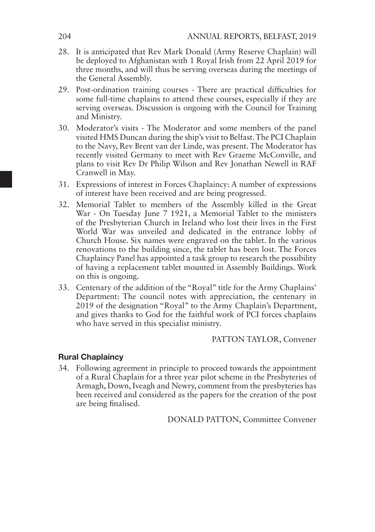- 28. It is anticipated that Rev Mark Donald (Army Reserve Chaplain) will be deployed to Afghanistan with 1 Royal Irish from 22 April 2019 for three months, and will thus be serving overseas during the meetings of the General Assembly.
- 29. Post-ordination training courses There are practical difficulties for some full-time chaplains to attend these courses, especially if they are serving overseas. Discussion is ongoing with the Council for Training and Ministry.
- 30. Moderator's visits The Moderator and some members of the panel visited HMS Duncan during the ship's visit to Belfast. The PCI Chaplain to the Navy, Rev Brent van der Linde, was present. The Moderator has recently visited Germany to meet with Rev Graeme McConville, and plans to visit Rev Dr Philip Wilson and Rev Jonathan Newell in RAF Cranwell in May.
- 31. Expressions of interest in Forces Chaplaincy: A number of expressions of interest have been received and are being progressed.
- 32. Memorial Tablet to members of the Assembly killed in the Great War - On Tuesday June 7 1921, a Memorial Tablet to the ministers of the Presbyterian Church in Ireland who lost their lives in the First World War was unveiled and dedicated in the entrance lobby of Church House. Six names were engraved on the tablet. In the various renovations to the building since, the tablet has been lost. The Forces Chaplaincy Panel has appointed a task group to research the possibility of having a replacement tablet mounted in Assembly Buildings. Work on this is ongoing.
- 33. Centenary of the addition of the "Royal" title for the Army Chaplains' Department: The council notes with appreciation, the centenary in 2019 of the designation "Royal" to the Army Chaplain's Department, and gives thanks to God for the faithful work of PCI forces chaplains who have served in this specialist ministry.

PATTON TAYLOR, Convener

#### Rural Chaplaincy

34. Following agreement in principle to proceed towards the appointment of a Rural Chaplain for a three year pilot scheme in the Presbyteries of Armagh, Down, Iveagh and Newry, comment from the presbyteries has been received and considered as the papers for the creation of the post are being finalised.

DONALD PATTON, Committee Convener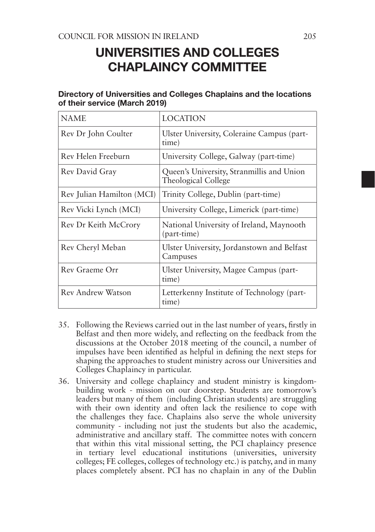# UNIVERSITIES AND COLLEGES CHAPLAINCY COMMITTEE

| <b>NAME</b>               | <b>LOCATION</b>                                                  |
|---------------------------|------------------------------------------------------------------|
| Rev Dr John Coulter       | Ulster University, Coleraine Campus (part-<br>time)              |
| Rev Helen Freeburn        | University College, Galway (part-time)                           |
| Rev David Gray            | Queen's University, Stranmillis and Union<br>Theological College |
| Rev Julian Hamilton (MCI) | Trinity College, Dublin (part-time)                              |
| Rev Vicki Lynch (MCI)     | University College, Limerick (part-time)                         |
| Rev Dr Keith McCrory      | National University of Ireland, Maynooth<br>(part-time)          |
| Rev Cheryl Meban          | Ulster University, Jordanstown and Belfast<br>Campuses           |
| Rev Graeme Orr            | Ulster University, Magee Campus (part-<br>time)                  |
| Rev Andrew Watson         | Letterkenny Institute of Technology (part-<br>time)              |

#### Directory of Universities and Colleges Chaplains and the locations of their service (March 2019)

- 35. Following the Reviews carried out in the last number of years, firstly in Belfast and then more widely, and reflecting on the feedback from the discussions at the October 2018 meeting of the council, a number of impulses have been identified as helpful in defining the next steps for shaping the approaches to student ministry across our Universities and Colleges Chaplaincy in particular.
- 36. University and college chaplaincy and student ministry is kingdombuilding work - mission on our doorstep. Students are tomorrow's leaders but many of them (including Christian students) are struggling with their own identity and often lack the resilience to cope with the challenges they face. Chaplains also serve the whole university community - including not just the students but also the academic, administrative and ancillary staff. The committee notes with concern that within this vital missional setting, the PCI chaplaincy presence in tertiary level educational institutions (universities, university colleges; FE colleges, colleges of technology etc.) is patchy, and in many places completely absent. PCI has no chaplain in any of the Dublin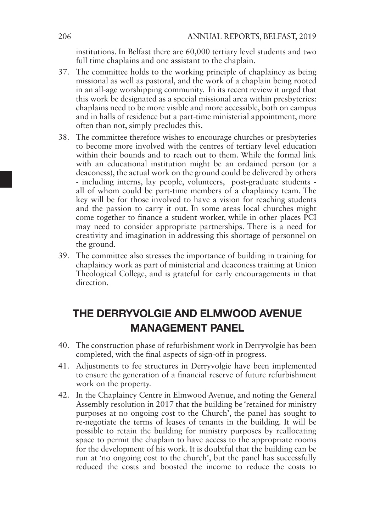institutions. In Belfast there are 60,000 tertiary level students and two full time chaplains and one assistant to the chaplain.

- 37. The committee holds to the working principle of chaplaincy as being missional as well as pastoral, and the work of a chaplain being rooted in an all-age worshipping community. In its recent review it urged that this work be designated as a special missional area within presbyteries: chaplains need to be more visible and more accessible, both on campus and in halls of residence but a part-time ministerial appointment, more often than not, simply precludes this.
- 38. The committee therefore wishes to encourage churches or presbyteries to become more involved with the centres of tertiary level education within their bounds and to reach out to them. While the formal link with an educational institution might be an ordained person (or a deaconess), the actual work on the ground could be delivered by others - including interns, lay people, volunteers, post-graduate students all of whom could be part-time members of a chaplaincy team. The key will be for those involved to have a vision for reaching students and the passion to carry it out. In some areas local churches might come together to finance a student worker, while in other places PCI may need to consider appropriate partnerships. There is a need for creativity and imagination in addressing this shortage of personnel on the ground.
- 39. The committee also stresses the importance of building in training for chaplaincy work as part of ministerial and deaconess training at Union Theological College, and is grateful for early encouragements in that direction.

# THE DERRYVOLGIE AND ELMWOOD AVENUE MANAGEMENT PANEL

- 40. The construction phase of refurbishment work in Derryvolgie has been completed, with the final aspects of sign-off in progress.
- 41. Adjustments to fee structures in Derryvolgie have been implemented to ensure the generation of a financial reserve of future refurbishment work on the property.
- 42. In the Chaplaincy Centre in Elmwood Avenue, and noting the General Assembly resolution in 2017 that the building be 'retained for ministry purposes at no ongoing cost to the Church', the panel has sought to re-negotiate the terms of leases of tenants in the building. It will be possible to retain the building for ministry purposes by reallocating space to permit the chaplain to have access to the appropriate rooms for the development of his work. It is doubtful that the building can be run at 'no ongoing cost to the church', but the panel has successfully reduced the costs and boosted the income to reduce the costs to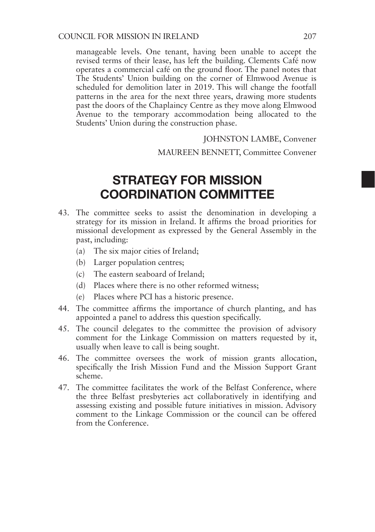manageable levels. One tenant, having been unable to accept the revised terms of their lease, has left the building. Clements Café now operates a commercial café on the ground floor. The panel notes that The Students' Union building on the corner of Elmwood Avenue is scheduled for demolition later in 2019. This will change the footfall patterns in the area for the next three years, drawing more students past the doors of the Chaplaincy Centre as they move along Elmwood Avenue to the temporary accommodation being allocated to the Students' Union during the construction phase.

JOHNSTON LAMBE, Convener

#### MAUREEN BENNETT, Committee Convener

# STRATEGY FOR MISSION COORDINATION COMMITTEE

- 43. The committee seeks to assist the denomination in developing a strategy for its mission in Ireland. It affirms the broad priorities for missional development as expressed by the General Assembly in the past, including:
	- (a) The six major cities of Ireland;
	- (b) Larger population centres;
	- (c) The eastern seaboard of Ireland;
	- (d) Places where there is no other reformed witness;
	- (e) Places where PCI has a historic presence.
- 44. The committee affirms the importance of church planting, and has appointed a panel to address this question specifically.
- 45. The council delegates to the committee the provision of advisory comment for the Linkage Commission on matters requested by it, usually when leave to call is being sought.
- 46. The committee oversees the work of mission grants allocation, specifically the Irish Mission Fund and the Mission Support Grant scheme.
- 47. The committee facilitates the work of the Belfast Conference, where the three Belfast presbyteries act collaboratively in identifying and assessing existing and possible future initiatives in mission. Advisory comment to the Linkage Commission or the council can be offered from the Conference.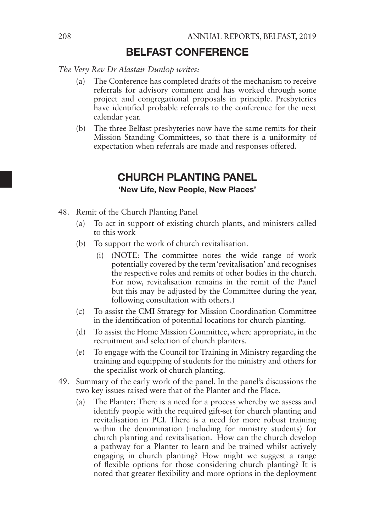### BELFAST CONFERENCE

*The Very Rev Dr Alastair Dunlop writes:*

- (a) The Conference has completed drafts of the mechanism to receive referrals for advisory comment and has worked through some project and congregational proposals in principle. Presbyteries have identified probable referrals to the conference for the next calendar year.
- (b) The three Belfast presbyteries now have the same remits for their Mission Standing Committees, so that there is a uniformity of expectation when referrals are made and responses offered.

## CHURCH PLANTING PANEL

#### 'New Life, New People, New Places'

- 48. Remit of the Church Planting Panel
	- (a) To act in support of existing church plants, and ministers called to this work
	- (b) To support the work of church revitalisation.
		- (i) (NOTE: The committee notes the wide range of work potentially covered by the term 'revitalisation' and recognises the respective roles and remits of other bodies in the church. For now, revitalisation remains in the remit of the Panel but this may be adjusted by the Committee during the year, following consultation with others.)
	- (c) To assist the CMI Strategy for Mission Coordination Committee in the identification of potential locations for church planting.
	- (d) To assist the Home Mission Committee, where appropriate, in the recruitment and selection of church planters.
	- (e) To engage with the Council for Training in Ministry regarding the training and equipping of students for the ministry and others for the specialist work of church planting.
- 49. Summary of the early work of the panel. In the panel's discussions the two key issues raised were that of the Planter and the Place.
	- (a) The Planter: There is a need for a process whereby we assess and identify people with the required gift-set for church planting and revitalisation in PCI. There is a need for more robust training within the denomination (including for ministry students) for church planting and revitalisation. How can the church develop a pathway for a Planter to learn and be trained whilst actively engaging in church planting? How might we suggest a range of flexible options for those considering church planting? It is noted that greater flexibility and more options in the deployment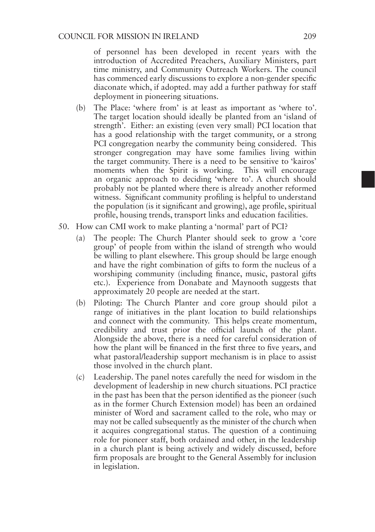of personnel has been developed in recent years with the introduction of Accredited Preachers, Auxiliary Ministers, part time ministry, and Community Outreach Workers. The council has commenced early discussions to explore a non-gender specific diaconate which, if adopted. may add a further pathway for staff deployment in pioneering situations.

- (b) The Place: 'where from' is at least as important as 'where to'. The target location should ideally be planted from an 'island of strength'. Either: an existing (even very small) PCI location that has a good relationship with the target community, or a strong PCI congregation nearby the community being considered. This stronger congregation may have some families living within the target community. There is a need to be sensitive to 'kairos' moments when the Spirit is working. This will encourage an organic approach to deciding 'where to'. A church should probably not be planted where there is already another reformed witness. Significant community profiling is helpful to understand the population (is it significant and growing), age profile, spiritual profile, housing trends, transport links and education facilities.
- 50. How can CMI work to make planting a 'normal' part of PCI?
	- (a) The people: The Church Planter should seek to grow a 'core group' of people from within the island of strength who would be willing to plant elsewhere. This group should be large enough and have the right combination of gifts to form the nucleus of a worshiping community (including finance, music, pastoral gifts etc.). Experience from Donabate and Maynooth suggests that approximately 20 people are needed at the start.
	- (b) Piloting: The Church Planter and core group should pilot a range of initiatives in the plant location to build relationships and connect with the community. This helps create momentum, credibility and trust prior the official launch of the plant. Alongside the above, there is a need for careful consideration of how the plant will be financed in the first three to five years, and what pastoral/leadership support mechanism is in place to assist those involved in the church plant.
	- (c) Leadership. The panel notes carefully the need for wisdom in the development of leadership in new church situations. PCI practice in the past has been that the person identified as the pioneer (such as in the former Church Extension model) has been an ordained minister of Word and sacrament called to the role, who may or may not be called subsequently as the minister of the church when it acquires congregational status. The question of a continuing role for pioneer staff, both ordained and other, in the leadership in a church plant is being actively and widely discussed, before firm proposals are brought to the General Assembly for inclusion in legislation.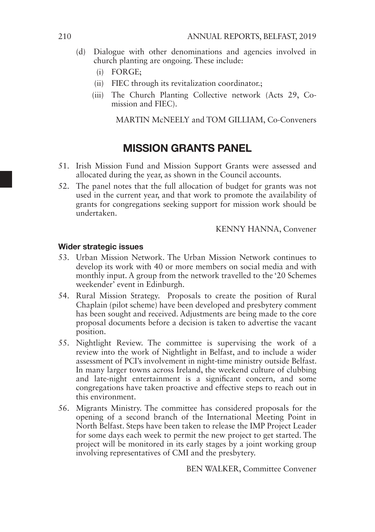- (d) Dialogue with other denominations and agencies involved in church planting are ongoing. These include:
	- (i) FORGE;
	- (ii) FIEC through its revitalization coordinator.;
	- (iii) The Church Planting Collective network (Acts 29, Comission and FIEC).

MARTIN McNEELY and TOM GILLIAM, Co-Conveners

### MISSION GRANTS PANEL

- 51. Irish Mission Fund and Mission Support Grants were assessed and allocated during the year, as shown in the Council accounts.
- 52. The panel notes that the full allocation of budget for grants was not used in the current year, and that work to promote the availability of grants for congregations seeking support for mission work should be undertaken.

KENNY HANNA, Convener

#### Wider strategic issues

- 53. Urban Mission Network. The Urban Mission Network continues to develop its work with 40 or more members on social media and with monthly input. A group from the network travelled to the '20 Schemes weekender' event in Edinburgh.
- 54. Rural Mission Strategy. Proposals to create the position of Rural Chaplain (pilot scheme) have been developed and presbytery comment has been sought and received. Adjustments are being made to the core proposal documents before a decision is taken to advertise the vacant position.
- 55. Nightlight Review. The committee is supervising the work of a review into the work of Nightlight in Belfast, and to include a wider assessment of PCI's involvement in night-time ministry outside Belfast. In many larger towns across Ireland, the weekend culture of clubbing and late-night entertainment is a significant concern, and some congregations have taken proactive and effective steps to reach out in this environment.
- 56. Migrants Ministry. The committee has considered proposals for the opening of a second branch of the International Meeting Point in North Belfast. Steps have been taken to release the IMP Project Leader for some days each week to permit the new project to get started. The project will be monitored in its early stages by a joint working group involving representatives of CMI and the presbytery.

BEN WALKER, Committee Convener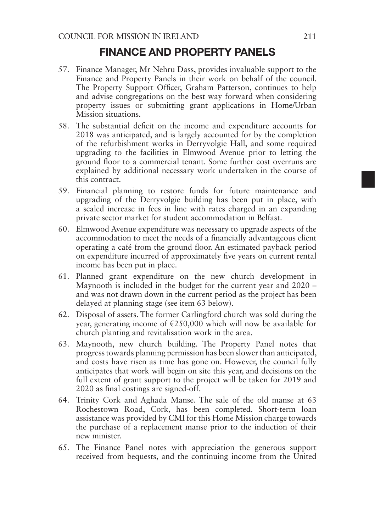### FINANCE AND PROPERTY PANELS

- 57. Finance Manager, Mr Nehru Dass, provides invaluable support to the Finance and Property Panels in their work on behalf of the council. The Property Support Officer, Graham Patterson, continues to help and advise congregations on the best way forward when considering property issues or submitting grant applications in Home/Urban Mission situations.
- 58. The substantial deficit on the income and expenditure accounts for 2018 was anticipated, and is largely accounted for by the completion of the refurbishment works in Derryvolgie Hall, and some required upgrading to the facilities in Elmwood Avenue prior to letting the ground floor to a commercial tenant. Some further cost overruns are explained by additional necessary work undertaken in the course of this contract.
- 59. Financial planning to restore funds for future maintenance and upgrading of the Derryvolgie building has been put in place, with a scaled increase in fees in line with rates charged in an expanding private sector market for student accommodation in Belfast.
- 60. Elmwood Avenue expenditure was necessary to upgrade aspects of the accommodation to meet the needs of a financially advantageous client operating a café from the ground floor. An estimated payback period on expenditure incurred of approximately five years on current rental income has been put in place.
- 61. Planned grant expenditure on the new church development in Maynooth is included in the budget for the current year and 2020 – and was not drawn down in the current period as the project has been delayed at planning stage (see item 63 below).
- 62. Disposal of assets. The former Carlingford church was sold during the year, generating income of  $\epsilon$ 250,000 which will now be available for church planting and revitalisation work in the area.
- 63. Maynooth, new church building. The Property Panel notes that progress towards planning permission has been slower than anticipated, and costs have risen as time has gone on. However, the council fully anticipates that work will begin on site this year, and decisions on the full extent of grant support to the project will be taken for 2019 and 2020 as final costings are signed-off.
- 64. Trinity Cork and Aghada Manse. The sale of the old manse at 63 Rochestown Road, Cork, has been completed. Short-term loan assistance was provided by CMI for this Home Mission charge towards the purchase of a replacement manse prior to the induction of their new minister.
- 65. The Finance Panel notes with appreciation the generous support received from bequests, and the continuing income from the United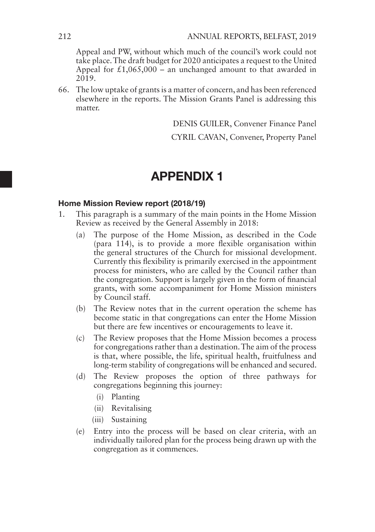Appeal and PW, without which much of the council's work could not take place. The draft budget for 2020 anticipates a request to the United Appeal for  $\text{\pounds}1,065,000$  – an unchanged amount to that awarded in 2019.

66. The low uptake of grants is a matter of concern, and has been referenced elsewhere in the reports. The Mission Grants Panel is addressing this matter.

DENIS GUILER, Convener Finance Panel

CYRIL CAVAN, Convener, Property Panel

# APPENDIX 1

#### Home Mission Review report (2018/19)

- 1. This paragraph is a summary of the main points in the Home Mission Review as received by the General Assembly in 2018:
	- (a) The purpose of the Home Mission, as described in the Code (para 114), is to provide a more flexible organisation within the general structures of the Church for missional development. Currently this flexibility is primarily exercised in the appointment process for ministers, who are called by the Council rather than the congregation. Support is largely given in the form of financial grants, with some accompaniment for Home Mission ministers by Council staff.
	- (b) The Review notes that in the current operation the scheme has become static in that congregations can enter the Home Mission but there are few incentives or encouragements to leave it.
	- (c) The Review proposes that the Home Mission becomes a process for congregations rather than a destination. The aim of the process is that, where possible, the life, spiritual health, fruitfulness and long-term stability of congregations will be enhanced and secured.
	- (d) The Review proposes the option of three pathways for congregations beginning this journey:
		- (i) Planting
		- (ii) Revitalising
		- (iii) Sustaining
	- (e) Entry into the process will be based on clear criteria, with an individually tailored plan for the process being drawn up with the congregation as it commences.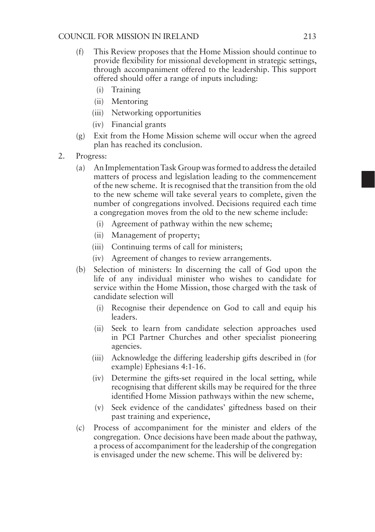- (f) This Review proposes that the Home Mission should continue to provide flexibility for missional development in strategic settings, through accompaniment offered to the leadership. This support offered should offer a range of inputs including:
	- (i) Training
	- (ii) Mentoring
	- (iii) Networking opportunities
	- (iv) Financial grants
- (g) Exit from the Home Mission scheme will occur when the agreed plan has reached its conclusion.
- 2. Progress:
	- (a) An Implementation Task Group was formed to address the detailed matters of process and legislation leading to the commencement of the new scheme. It is recognised that the transition from the old to the new scheme will take several years to complete, given the number of congregations involved. Decisions required each time a congregation moves from the old to the new scheme include:
		- (i) Agreement of pathway within the new scheme;
		- (ii) Management of property;
		- (iii) Continuing terms of call for ministers;
		- (iv) Agreement of changes to review arrangements.
	- (b) Selection of ministers: In discerning the call of God upon the life of any individual minister who wishes to candidate for service within the Home Mission, those charged with the task of candidate selection will
		- (i) Recognise their dependence on God to call and equip his leaders.
		- (ii) Seek to learn from candidate selection approaches used in PCI Partner Churches and other specialist pioneering agencies.
		- (iii) Acknowledge the differing leadership gifts described in (for example) Ephesians 4:1-16.
		- (iv) Determine the gifts-set required in the local setting, while recognising that different skills may be required for the three identified Home Mission pathways within the new scheme,
		- (v) Seek evidence of the candidates' giftedness based on their past training and experience,
	- (c) Process of accompaniment for the minister and elders of the congregation. Once decisions have been made about the pathway, a process of accompaniment for the leadership of the congregation is envisaged under the new scheme. This will be delivered by: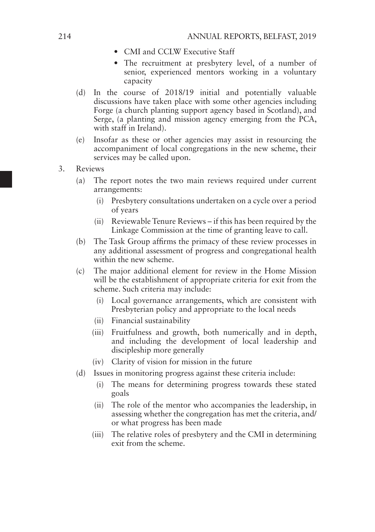- CMI and CCLW Executive Staff
- The recruitment at presbytery level, of a number of senior, experienced mentors working in a voluntary capacity
- (d) In the course of 2018/19 initial and potentially valuable discussions have taken place with some other agencies including Forge (a church planting support agency based in Scotland), and Serge, (a planting and mission agency emerging from the PCA, with staff in Ireland).
- (e) Insofar as these or other agencies may assist in resourcing the accompaniment of local congregations in the new scheme, their services may be called upon.
- 3. Reviews
	- (a) The report notes the two main reviews required under current arrangements:
		- (i) Presbytery consultations undertaken on a cycle over a period of years
		- (ii) Reviewable Tenure Reviews if this has been required by the Linkage Commission at the time of granting leave to call.
	- (b) The Task Group affirms the primacy of these review processes in any additional assessment of progress and congregational health within the new scheme.
	- (c) The major additional element for review in the Home Mission will be the establishment of appropriate criteria for exit from the scheme. Such criteria may include:
		- (i) Local governance arrangements, which are consistent with Presbyterian policy and appropriate to the local needs
		- (ii) Financial sustainability
		- (iii) Fruitfulness and growth, both numerically and in depth, and including the development of local leadership and discipleship more generally
		- (iv) Clarity of vision for mission in the future
	- (d) Issues in monitoring progress against these criteria include:
		- (i) The means for determining progress towards these stated goals
		- (ii) The role of the mentor who accompanies the leadership, in assessing whether the congregation has met the criteria, and/ or what progress has been made
		- (iii) The relative roles of presbytery and the CMI in determining exit from the scheme.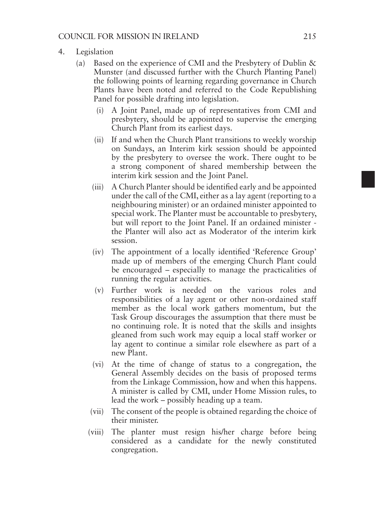- 4. Legislation
	- (a) Based on the experience of CMI and the Presbytery of Dublin & Munster (and discussed further with the Church Planting Panel) the following points of learning regarding governance in Church Plants have been noted and referred to the Code Republishing Panel for possible drafting into legislation.
		- (i) A Joint Panel, made up of representatives from CMI and presbytery, should be appointed to supervise the emerging Church Plant from its earliest days.
		- (ii) If and when the Church Plant transitions to weekly worship on Sundays, an Interim kirk session should be appointed by the presbytery to oversee the work. There ought to be a strong component of shared membership between the interim kirk session and the Joint Panel.
		- (iii) A Church Planter should be identified early and be appointed under the call of the CMI, either as a lay agent (reporting to a neighbouring minister) or an ordained minister appointed to special work. The Planter must be accountable to presbytery, but will report to the Joint Panel. If an ordained minister the Planter will also act as Moderator of the interim kirk session.
		- (iv) The appointment of a locally identified 'Reference Group' made up of members of the emerging Church Plant could be encouraged – especially to manage the practicalities of running the regular activities.
		- (v) Further work is needed on the various roles and responsibilities of a lay agent or other non-ordained staff member as the local work gathers momentum, but the Task Group discourages the assumption that there must be no continuing role. It is noted that the skills and insights gleaned from such work may equip a local staff worker or lay agent to continue a similar role elsewhere as part of a new Plant.
		- (vi) At the time of change of status to a congregation, the General Assembly decides on the basis of proposed terms from the Linkage Commission, how and when this happens. A minister is called by CMI, under Home Mission rules, to lead the work – possibly heading up a team.
		- (vii) The consent of the people is obtained regarding the choice of their minister.
		- (viii) The planter must resign his/her charge before being considered as a candidate for the newly constituted congregation.